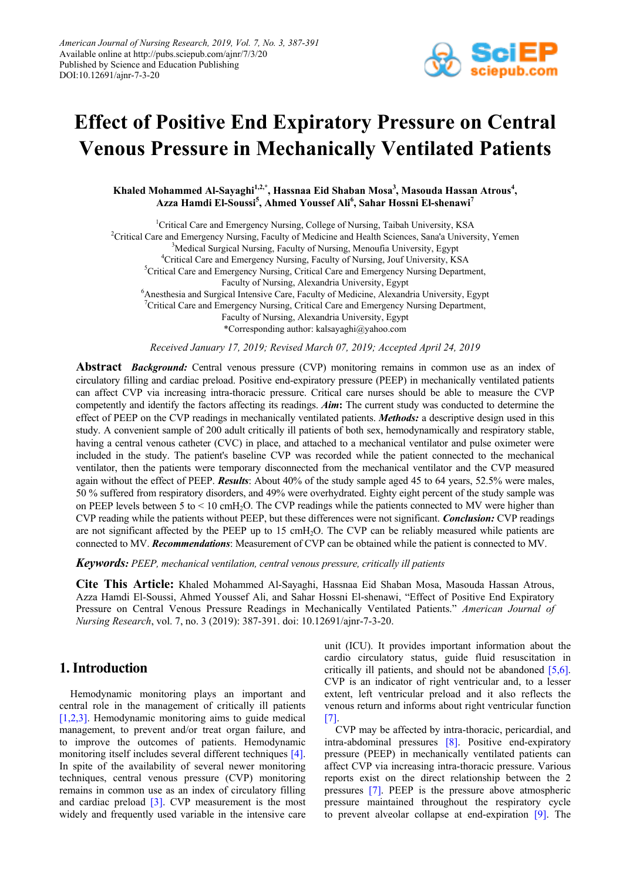

# **Effect of Positive End Expiratory Pressure on Central Venous Pressure in Mechanically Ventilated Patients**

Khaled Mohammed Al-Sayaghi<sup>1,2,\*</sup>, Hassnaa Eid Shaban Mosa<sup>3</sup>, Masouda Hassan Atrous<sup>4</sup>, **Azza Hamdi El-Soussi5 , Ahmed Youssef Ali6 , Sahar Hossni El-shenawi7**

<sup>1</sup>Critical Care and Emergency Nursing, College of Nursing, Taibah University, KSA <sup>2</sup>Critical Care and Emergency Nursing, Faculty of Medicine and Health Sciences, Sana'a University, Yemen <sup>3</sup>Medical Surgical Nursing, Faculty of Nursing, Menoufia University, Egypt 4 Critical Care and Emergency Nursing, Faculty of Nursing, Jouf University, KSA <sup>5</sup>Critical Care and Emergency Nursing, Critical Care and Emergency Nursing Department, Faculty of Nursing, Alexandria University, Egypt <sup>6</sup> Anesthesia and Surgical Intensive Care, Faculty of Medicine, Alexandria University, Egypt <sup>7</sup> Critical Care and Emergency Nursing, Critical Care and Emergency Nursing Department, Faculty of Nursing, Alexandria University, Egypt \*Corresponding author: kalsayaghi@yahoo.com

*Received January 17, 2019; Revised March 07, 2019; Accepted April 24, 2019*

**Abstract** *Background:* Central venous pressure (CVP) monitoring remains in common use as an index of circulatory filling and cardiac preload. Positive end-expiratory pressure (PEEP) in mechanically ventilated patients can affect CVP via increasing intra-thoracic pressure. Critical care nurses should be able to measure the CVP competently and identify the factors affecting its readings. *Aim***:** The current study was conducted to determine the effect of PEEP on the CVP readings in mechanically ventilated patients. *Methods:* a descriptive design used in this study. A convenient sample of 200 adult critically ill patients of both sex, hemodynamically and respiratory stable, having a central venous catheter (CVC) in place, and attached to a mechanical ventilator and pulse oximeter were included in the study. The patient's baseline CVP was recorded while the patient connected to the mechanical ventilator, then the patients were temporary disconnected from the mechanical ventilator and the CVP measured again without the effect of PEEP. *Results*: About 40% of the study sample aged 45 to 64 years, 52.5% were males, 50 % suffered from respiratory disorders, and 49% were overhydrated. Eighty eight percent of the study sample was on PEEP levels between 5 to  $\leq 10 \text{ cm}$ H<sub>2</sub>O. The CVP readings while the patients connected to MV were higher than CVP reading while the patients without PEEP, but these differences were not significant. *Conclusion:* CVP readings are not significant affected by the PEEP up to 15 cmH2O. The CVP can be reliably measured while patients are connected to MV. *Recommendations*: Measurement of CVP can be obtained while the patient is connected to MV.

*Keywords: PEEP, mechanical ventilation, central venous pressure, critically ill patients*

**Cite This Article:** Khaled Mohammed Al-Sayaghi, Hassnaa Eid Shaban Mosa, Masouda Hassan Atrous, Azza Hamdi El-Soussi, Ahmed Youssef Ali, and Sahar Hossni El-shenawi, "Effect of Positive End Expiratory Pressure on Central Venous Pressure Readings in Mechanically Ventilated Patients." *American Journal of Nursing Research*, vol. 7, no. 3 (2019): 387-391. doi: 10.12691/ajnr-7-3-20.

# **1. Introduction**

Hemodynamic monitoring plays an important and central role in the management of critically ill patients [\[1,2,3\].](#page-4-0) Hemodynamic monitoring aims to guide medical management, to prevent and/or treat organ failure, and to improve the outcomes of patients. Hemodynamic monitoring itself includes several different techniques [\[4\].](#page-4-1) In spite of the availability of several newer monitoring techniques, central venous pressure (CVP) monitoring remains in common use as an index of circulatory filling and cardiac preload  $[3]$ . CVP measurement is the most widely and frequently used variable in the intensive care unit (ICU). It provides important information about the cardio circulatory status, guide fluid resuscitation in critically ill patients, and should not be abandoned [\[5,6\].](#page-4-3) CVP is an indicator of right ventricular and, to a lesser extent, left ventricular preload and it also reflects the venous return and informs about right ventricular function [\[7\].](#page-4-4)

CVP may be affected by intra-thoracic, pericardial, and intra-abdominal pressures [\[8\].](#page-4-5) Positive end-expiratory pressure (PEEP) in mechanically ventilated patients can affect CVP via increasing intra-thoracic pressure. Various reports exist on the direct relationship between the 2 pressures [\[7\].](#page-4-4) PEEP is the pressure above atmospheric pressure maintained throughout the respiratory cycle to prevent alveolar collapse at end-expiration [\[9\].](#page-4-6) The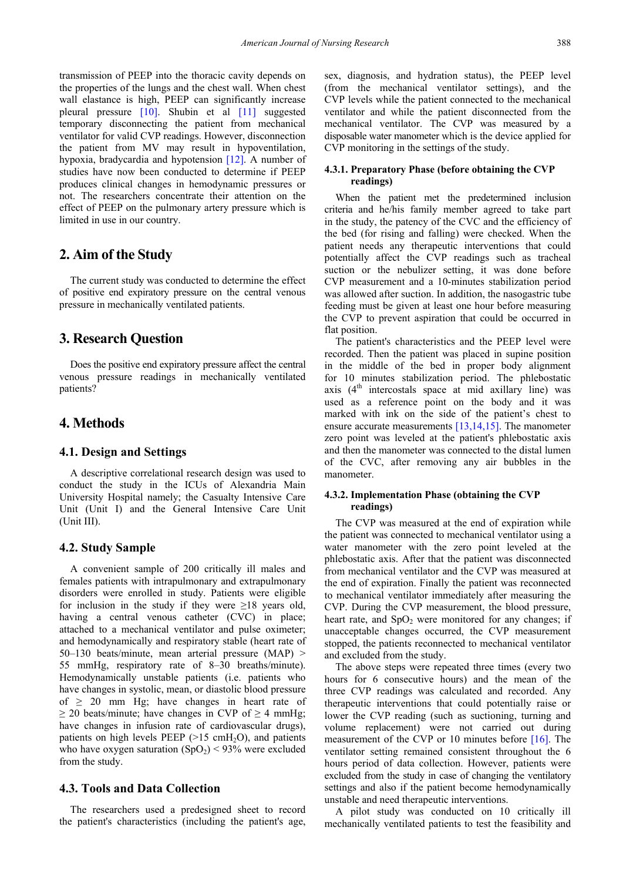transmission of PEEP into the thoracic cavity depends on the properties of the lungs and the chest wall. When chest wall elastance is high, PEEP can significantly increase pleural pressure [\[10\].](#page-4-7) Shubin et al [\[11\]](#page-4-8) suggested temporary disconnecting the patient from mechanical ventilator for valid CVP readings. However, disconnection the patient from MV may result in hypoventilation, hypoxia, bradycardia and hypotension [\[12\].](#page-4-9) A number of studies have now been conducted to determine if PEEP produces clinical changes in hemodynamic pressures or not. The researchers concentrate their attention on the effect of PEEP on the pulmonary artery pressure which is limited in use in our country.

# **2. Aim of the Study**

The current study was conducted to determine the effect of positive end expiratory pressure on the central venous pressure in mechanically ventilated patients.

# **3. Research Question**

Does the positive end expiratory pressure affect the central venous pressure readings in mechanically ventilated patients?

## **4. Methods**

#### **4.1. Design and Settings**

A descriptive correlational research design was used to conduct the study in the ICUs of Alexandria Main University Hospital namely; the Casualty Intensive Care Unit (Unit I) and the General Intensive Care Unit (Unit III).

## **4.2. Study Sample**

A convenient sample of 200 critically ill males and females patients with intrapulmonary and extrapulmonary disorders were enrolled in study. Patients were eligible for inclusion in the study if they were  $\geq 18$  years old, having a central venous catheter (CVC) in place; attached to a mechanical ventilator and pulse oximeter; and hemodynamically and respiratory stable (heart rate of 50–130 beats/minute, mean arterial pressure (MAP) > 55 mmHg, respiratory rate of 8–30 breaths/minute). Hemodynamically unstable patients (i.e. patients who have changes in systolic, mean, or diastolic blood pressure of  $\geq$  20 mm Hg; have changes in heart rate of  $\geq$  20 beats/minute; have changes in CVP of  $\geq$  4 mmHg; have changes in infusion rate of cardiovascular drugs), patients on high levels PEEP ( $>15$  cmH<sub>2</sub>O), and patients who have oxygen saturation  $(SpO<sub>2</sub>) < 93%$  were excluded from the study.

## **4.3. Tools and Data Collection**

The researchers used a predesigned sheet to record the patient's characteristics (including the patient's age, sex, diagnosis, and hydration status), the PEEP level (from the mechanical ventilator settings), and the CVP levels while the patient connected to the mechanical ventilator and while the patient disconnected from the mechanical ventilator. The CVP was measured by a disposable water manometer which is the device applied for CVP monitoring in the settings of the study.

#### **4.3.1. Preparatory Phase (before obtaining the CVP readings)**

When the patient met the predetermined inclusion criteria and he/his family member agreed to take part in the study, the patency of the CVC and the efficiency of the bed (for rising and falling) were checked. When the patient needs any therapeutic interventions that could potentially affect the CVP readings such as tracheal suction or the nebulizer setting, it was done before CVP measurement and a 10-minutes stabilization period was allowed after suction. In addition, the nasogastric tube feeding must be given at least one hour before measuring the CVP to prevent aspiration that could be occurred in flat position.

The patient's characteristics and the PEEP level were recorded. Then the patient was placed in supine position in the middle of the bed in proper body alignment for 10 minutes stabilization period. The phlebostatic axis  $(4<sup>th</sup>$  intercostals space at mid axillary line) was used as a reference point on the body and it was marked with ink on the side of the patient's chest to ensure accurate measurements [\[13,14,15\].](#page-4-10) The manometer zero point was leveled at the patient's phlebostatic axis and then the manometer was connected to the distal lumen of the CVC, after removing any air bubbles in the manometer.

#### **4.3.2. Implementation Phase (obtaining the CVP readings)**

The CVP was measured at the end of expiration while the patient was connected to mechanical ventilator using a water manometer with the zero point leveled at the phlebostatic axis. After that the patient was disconnected from mechanical ventilator and the CVP was measured at the end of expiration. Finally the patient was reconnected to mechanical ventilator immediately after measuring the CVP. During the CVP measurement, the blood pressure, heart rate, and  $SpO<sub>2</sub>$  were monitored for any changes; if unacceptable changes occurred, the CVP measurement stopped, the patients reconnected to mechanical ventilator and excluded from the study.

The above steps were repeated three times (every two hours for 6 consecutive hours) and the mean of the three CVP readings was calculated and recorded. Any therapeutic interventions that could potentially raise or lower the CVP reading (such as suctioning, turning and volume replacement) were not carried out during measurement of the CVP or 10 minutes before [\[16\].](#page-4-11) The ventilator setting remained consistent throughout the 6 hours period of data collection. However, patients were excluded from the study in case of changing the ventilatory settings and also if the patient become hemodynamically unstable and need therapeutic interventions.

A pilot study was conducted on 10 critically ill mechanically ventilated patients to test the feasibility and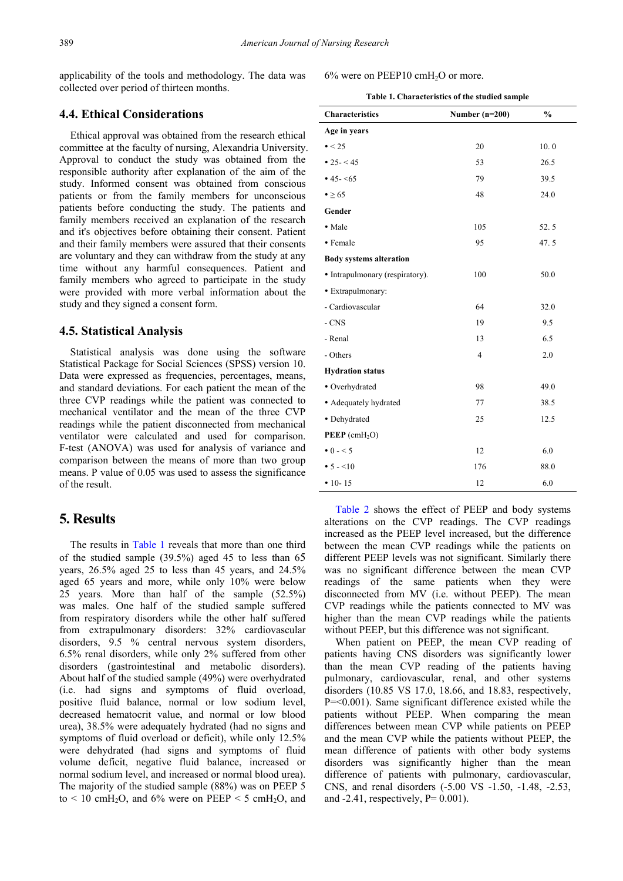applicability of the tools and methodology. The data was collected over period of thirteen months.

## **4.4. Ethical Considerations**

Ethical approval was obtained from the research ethical committee at the faculty of nursing, Alexandria University. Approval to conduct the study was obtained from the responsible authority after explanation of the aim of the study. Informed consent was obtained from conscious patients or from the family members for unconscious patients before conducting the study. The patients and family members received an explanation of the research and it's objectives before obtaining their consent. Patient and their family members were assured that their consents are voluntary and they can withdraw from the study at any time without any harmful consequences. Patient and family members who agreed to participate in the study were provided with more verbal information about the study and they signed a consent form.

#### **4.5. Statistical Analysis**

Statistical analysis was done using the software Statistical Package for Social Sciences (SPSS) version 10. Data were expressed as frequencies, percentages, means, and standard deviations. For each patient the mean of the three CVP readings while the patient was connected to mechanical ventilator and the mean of the three CVP readings while the patient disconnected from mechanical ventilator were calculated and used for comparison. F-test (ANOVA) was used for analysis of variance and comparison between the means of more than two group means. P value of 0.05 was used to assess the significance of the result.

## **5. Results**

The results in [Table 1](#page-2-0) reveals that more than one third of the studied sample (39.5%) aged 45 to less than 65 years, 26.5% aged 25 to less than 45 years, and 24.5% aged 65 years and more, while only 10% were below 25 years. More than half of the sample (52.5%) was males. One half of the studied sample suffered from respiratory disorders while the other half suffered from extrapulmonary disorders: 32% cardiovascular disorders, 9.5 % central nervous system disorders, 6.5% renal disorders, while only 2% suffered from other disorders (gastrointestinal and metabolic disorders). About half of the studied sample (49%) were overhydrated (i.e. had signs and symptoms of fluid overload, positive fluid balance, normal or low sodium level, decreased hematocrit value, and normal or low blood urea), 38.5% were adequately hydrated (had no signs and symptoms of fluid overload or deficit), while only 12.5% were dehydrated (had signs and symptoms of fluid volume deficit, negative fluid balance, increased or normal sodium level, and increased or normal blood urea). The majority of the studied sample (88%) was on PEEP 5 to  $\leq 10$  cmH<sub>2</sub>O, and 6% were on PEEP  $\leq 5$  cmH<sub>2</sub>O, and

#### 6% were on PEEP10 cmH<sub>2</sub>O or more.

<span id="page-2-0"></span>

| Table 1. Characteristics of the studied sample |  |  |  |
|------------------------------------------------|--|--|--|
|------------------------------------------------|--|--|--|

| <b>Characteristics</b>          | Number $(n=200)$ | $\frac{0}{0}$ |
|---------------------------------|------------------|---------------|
| Age in years                    |                  |               |
|                                 |                  |               |
| $\bullet$ < 25                  | 20               | 10.0          |
| • 25 - < 45                     | 53               | 26.5          |
| • 45 - < 65                     | 79               | 39.5          |
| $\bullet \geq 65$               | 48               | 24.0          |
| Gender                          |                  |               |
| • Male                          | 105              | 52.5          |
| • Female                        | 95               | 47.5          |
| <b>Body systems alteration</b>  |                  |               |
| • Intrapulmonary (respiratory). | 100              | 50.0          |
| • Extrapulmonary:               |                  |               |
| - Cardiovascular                | 64               | 32.0          |
| $-CNS$                          | 19               | 9.5           |
| - Renal                         | 13               | 6.5           |
| - Others                        | $\overline{4}$   | 2.0           |
| <b>Hydration status</b>         |                  |               |
| • Overhydrated                  | 98               | 49.0          |
| • Adequately hydrated           | 77               | 38.5          |
| · Dehydrated                    | 25               | 12.5          |
| $PEEP$ (cmH <sub>2</sub> O)     |                  |               |
| $\bullet$ 0 - < 5               | 12               | 6.0           |
| $\bullet$ 5 - <10               | 176              | 88.0          |
| $• 10 - 15$                     | 12               | 6.0           |

[Table 2](#page-3-0) shows the effect of PEEP and body systems alterations on the CVP readings. The CVP readings increased as the PEEP level increased, but the difference between the mean CVP readings while the patients on different PEEP levels was not significant. Similarly there was no significant difference between the mean CVP readings of the same patients when they were disconnected from MV (i.e. without PEEP). The mean CVP readings while the patients connected to MV was higher than the mean CVP readings while the patients without PEEP, but this difference was not significant.

When patient on PEEP, the mean CVP reading of patients having CNS disorders was significantly lower than the mean CVP reading of the patients having pulmonary, cardiovascular, renal, and other systems disorders (10.85 VS 17.0, 18.66, and 18.83, respectively, P=<0.001). Same significant difference existed while the patients without PEEP. When comparing the mean differences between mean CVP while patients on PEEP and the mean CVP while the patients without PEEP, the mean difference of patients with other body systems disorders was significantly higher than the mean difference of patients with pulmonary, cardiovascular, CNS, and renal disorders (-5.00 VS -1.50, -1.48, -2.53, and  $-2.41$ , respectively,  $P= 0.001$ ).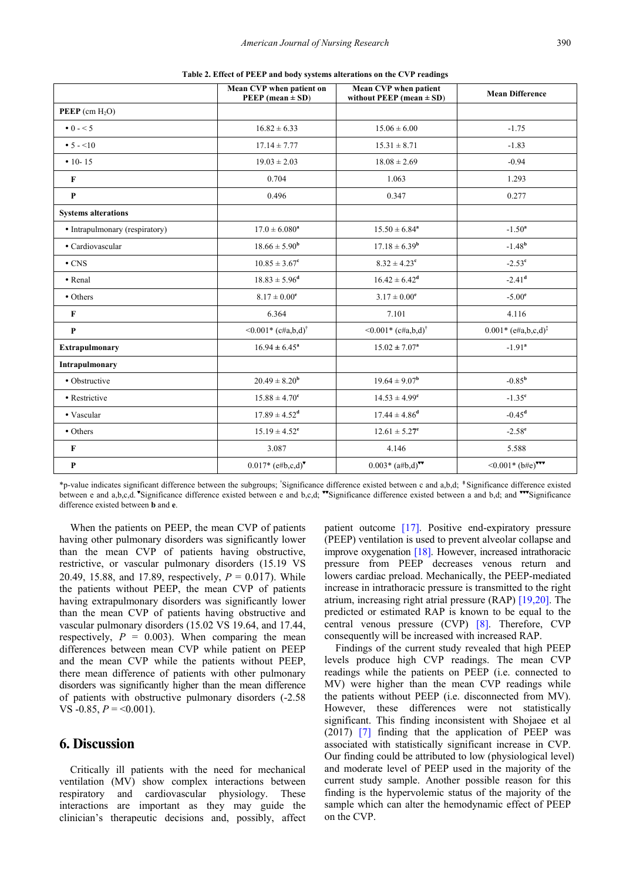|                                | Mean CVP when patient on<br>PEEP (mean $\pm$ SD) | <b>Mean CVP</b> when patient<br>without PEEP (mean $\pm$ SD) | <b>Mean Difference</b>              |
|--------------------------------|--------------------------------------------------|--------------------------------------------------------------|-------------------------------------|
| <b>PEEP</b> (cm $H_2O$ )       |                                                  |                                                              |                                     |
| $\bullet$ 0 - < 5              | $16.82 \pm 6.33$                                 | $15.06 \pm 6.00$                                             | $-1.75$                             |
| • $5 - 10$                     | $17.14 \pm 7.77$                                 | $15.31 \pm 8.71$                                             | $-1.83$                             |
| $• 10 - 15$                    | $19.03 \pm 2.03$                                 | $18.08 \pm 2.69$                                             | $-0.94$                             |
| $\mathbf{F}$                   | 0.704                                            | 1.063                                                        | 1.293                               |
| $\mathbf{P}$                   | 0.496                                            | 0.347                                                        | 0.277                               |
| <b>Systems alterations</b>     |                                                  |                                                              |                                     |
| • Intrapulmonary (respiratory) | $17.0 \pm 6.080^a$                               | $15.50 \pm 6.84^a$                                           | $-1.50^a$                           |
| • Cardiovascular               | $18.66 \pm 5.90^{\rm b}$                         | $17.18 \pm 6.39^{\rm b}$                                     | $-1.48b$                            |
| $\cdot$ CNS                    | $10.85 \pm 3.67$ <sup>c</sup>                    | $8.32 \pm 4.23^c$                                            | $-2.53^{\circ}$                     |
| • Renal                        | $18.83 \pm 5.96^{\text{d}}$                      | $16.42 \pm 6.42^d$                                           | $-2.41d$                            |
| • Others                       | $8.17 \pm 0.00^e$                                | $3.17 \pm 0.00^e$                                            | $-5.00^{\circ}$                     |
| $\mathbf{F}$                   | 6.364                                            | 7.101                                                        | 4.116                               |
| $\mathbf{P}$                   | $\leq 0.001$ * (c#a,b,d) <sup>†</sup>            | $\leq 0.001$ * (c#a,b,d) <sup>†</sup>                        | $0.001*$ (e#a,b,c,d) <sup>‡</sup>   |
| <b>Extrapulmonary</b>          | $16.94 \pm 6.45^{\circ}$                         | $15.02 \pm 7.07^{\rm a}$                                     | $-1.91$ <sup>a</sup>                |
| Intrapulmonary                 |                                                  |                                                              |                                     |
| • Obstructive                  | $20.49 \pm 8.20^{\rm b}$                         | $19.64 \pm 9.07^{\rm b}$                                     | $-0.85^{b}$                         |
| • Restrictive                  | $15.88 \pm 4.70^c$                               | $14.53 \pm 4.99$ <sup>c</sup>                                | $-1.35^{\rm e}$                     |
| • Vascular                     | $17.89 \pm 4.52^{\rm d}$                         | $17.44 \pm 4.86^{\rm d}$                                     | $-0.45^{\rm d}$                     |
| • Others                       | $15.19 \pm 4.52^e$                               | $12.61 \pm 5.27^e$                                           | $-2.58^e$                           |
| $\mathbf{F}$                   | 3.087                                            | 4.146                                                        | 5.588                               |
| $\mathbf{P}$                   | $0.017* (e#b,c,d)^{\bullet}$                     | $0.003*$ $(a#b,d)$ <sup>**</sup>                             | $\leq 0.001$ * (b#e) <sup>***</sup> |

<span id="page-3-0"></span>**Table 2. Effect of PEEP and body systems alterations on the CVP readings**

\*p-value indicates significant difference between the subgroups; † Significance difference existed between c and a,b,d; ‡Significance difference existed between e and a,b,c,d. "Significance difference existed between e and b,c,d; "Significance difference existed between a and b,d; and ""Significance difference existed between **b** and **e**.

When the patients on PEEP, the mean CVP of patients having other pulmonary disorders was significantly lower than the mean CVP of patients having obstructive, restrictive, or vascular pulmonary disorders (15.19 VS 20.49, 15.88, and 17.89, respectively, *P* = 0.017). While the patients without PEEP, the mean CVP of patients having extrapulmonary disorders was significantly lower than the mean CVP of patients having obstructive and vascular pulmonary disorders (15.02 VS 19.64, and 17.44, respectively,  $P = 0.003$ . When comparing the mean differences between mean CVP while patient on PEEP and the mean CVP while the patients without PEEP, there mean difference of patients with other pulmonary disorders was significantly higher than the mean difference of patients with obstructive pulmonary disorders (-2.58 VS  $-0.85$ ,  $P = \le 0.001$ ).

# **6. Discussion**

Critically ill patients with the need for mechanical ventilation (MV) show complex interactions between respiratory and cardiovascular physiology. These interactions are important as they may guide the clinician's therapeutic decisions and, possibly, affect patient outcome [\[17\].](#page-4-12) Positive end-expiratory pressure (PEEP) ventilation is used to prevent alveolar collapse and improve oxygenation [\[18\].](#page-4-13) However, increased intrathoracic pressure from PEEP decreases venous return and lowers cardiac preload. Mechanically, the PEEP-mediated increase in intrathoracic pressure is transmitted to the right atrium, increasing right atrial pressure (RAP) [\[19,20\].](#page-4-14) The predicted or estimated RAP is known to be equal to the central venous pressure (CVP) [\[8\].](#page-4-5) Therefore, CVP consequently will be increased with increased RAP.

Findings of the current study revealed that high PEEP levels produce high CVP readings. The mean CVP readings while the patients on PEEP (i.e. connected to MV) were higher than the mean CVP readings while the patients without PEEP (i.e. disconnected from MV). However, these differences were not statistically significant. This finding inconsistent with Shojaee et al (2017) [\[7\]](#page-4-4) finding that the application of PEEP was associated with statistically significant increase in CVP. Our finding could be attributed to low (physiological level) and moderate level of PEEP used in the majority of the current study sample. Another possible reason for this finding is the hypervolemic status of the majority of the sample which can alter the hemodynamic effect of PEEP on the CVP.